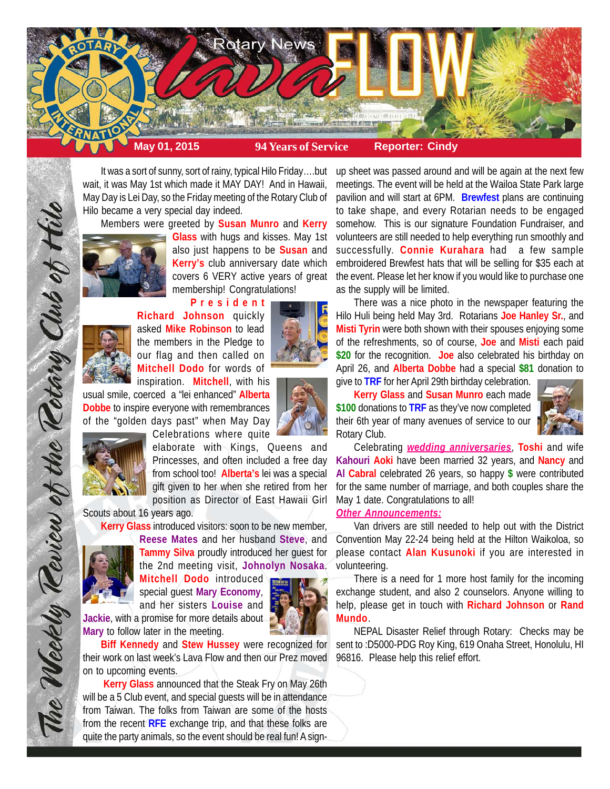

It was a sort of sunny, sort of rainy, typical Hilo Friday….but wait, it was May 1st which made it MAY DAY! And in Hawaii, May Day is Lei Day, so the Friday meeting of the Rotary Club of Hilo became a very special day indeed.

Members were greeted by **Susan Munro** and **Kerry**



**Glass** with hugs and kisses. May 1st also just happens to be **Susan** and **Kerry's** club anniversary date which covers 6 VERY active years of great membership! Congratulations!

**President Richard Johnson** quickly asked **Mike Robinson** to lead the members in the Pledge to our flag and then called on **Mitchell Dodo** for words of inspiration. **Mitchell**, with his





The Weekly Review of the Retary Club of Hilo

Celebrations where quite

elaborate with Kings, Queens and Princesses, and often included a free day from school too! **Alberta's** lei was a special gift given to her when she retired from her position as Director of East Hawaii Girl

**Reese Mates** and her husband **Steve**, and

Scouts about 16 years ago.

**Kerry Glass** introduced visitors: soon to be new member,



**Tammy Silva** proudly introduced her guest for the 2nd meeting visit, **Johnolyn Nosaka**. **Mitchell Dodo** introduced special guest **Mary Economy**,

and her sisters **Louise** and **Jackie**, with a promise for more details about **Mary** to follow later in the meeting.

**Biff Kennedy** and **Stew Hussey** were recognized for their work on last week's Lava Flow and then our Prez moved on to upcoming events.

**Kerry Glass** announced that the Steak Fry on May 26th will be a 5 Club event, and special guests will be in attendance from Taiwan. The folks from Taiwan are some of the hosts from the recent **RFE** exchange trip, and that these folks are quite the party animals, so the event should be real fun! A signup sheet was passed around and will be again at the next few meetings. The event will be held at the Wailoa State Park large pavilion and will start at 6PM. **Brewfest** plans are continuing to take shape, and every Rotarian needs to be engaged somehow. This is our signature Foundation Fundraiser, and volunteers are still needed to help everything run smoothly and successfully. **Connie Kurahara** had a few sample embroidered Brewfest hats that will be selling for \$35 each at the event. Please let her know if you would like to purchase one as the supply will be limited.

There was a nice photo in the newspaper featuring the Hilo Huli being held May 3rd. Rotarians **Joe Hanley Sr.**, and **Misti Tyrin** were both shown with their spouses enjoying some of the refreshments, so of course, **Joe** and **Misti** each paid **\$20** for the recognition. **Joe** also celebrated his birthday on April 26, and **Alberta Dobbe** had a special **\$81** donation to give to **TRF** for her April 29th birthday celebration.

**Kerry Glass** and **Susan Munro** each made **\$100** donations to **TRF** as they've now completed their 6th year of many avenues of service to our Rotary Club.



Celebrating *wedding anniversaries*, **Toshi** and wife **Kahouri Aoki** have been married 32 years, and **Nancy** and **Al Cabral** celebrated 26 years, so happy **\$** were contributed for the same number of marriage, and both couples share the May 1 date. Congratulations to all!

*Other Announcements:*

Van drivers are still needed to help out with the District Convention May 22-24 being held at the Hilton Waikoloa, so please contact **Alan Kusunoki** if you are interested in volunteering.

There is a need for 1 more host family for the incoming exchange student, and also 2 counselors. Anyone willing to help, please get in touch with **Richard Johnson** or **Rand Mundo**.

NEPAL Disaster Relief through Rotary: Checks may be sent to :D5000-PDG Roy King, 619 Onaha Street, Honolulu, HI 96816. Please help this relief effort.

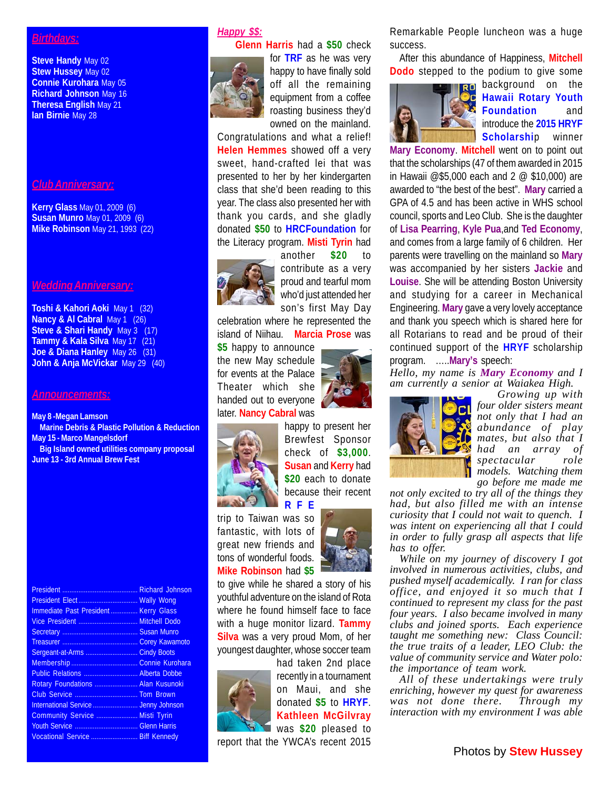## *Birthdays:*

**Steve Handy** May 02 **Stew Hussey** May 02 **Connie Kurohara** May 05 **Richard Johnson** May 16 **Theresa English** May 21 **Ian Birnie** May 28

#### *Club Anniversary:*

**Kerry Glass** May 01, 2009 (6) **Susan Munro** May 01, 2009 (6) **Mike Robinson** May 21, 1993 (22)

### *Wedding Anniversary:*

**Toshi & Kahori Aoki** May 1 (32) **Nancy & Al Cabral** May 1 (26) **Steve & Shari Handy** May 3 (17) **Tammy & Kala Silva** May 17 (21) **Joe & Diana Hanley** May 26 (31) **John & Anja McVickar** May 29 (40)

#### *Announcements:*

**May 8 -Megan Lamson Marine Debris & Plastic Pollution & Reduction May 15 - Marco Mangelsdorf Big Island owned utilities company proposal June 13 - 3rd Annual Brew Fest**

President .......................................... Richard Johnson President Elect ................................. Wally Wong Immediate Past President ............... Kerry Glass Vice President ................................. Mitchell Dodo Secretary .......................................... Susan Munro Treasurer .......................................... Corey Kawamoto Sergeant-at-Arms ............................. Cindy Boots Membership ..................................... Connie Kurohara Public Relations .............................. Alberta Dobbe Rotary Foundations ........................ Alan Kusunoki Club Service ................................... Tom Brown International Service ............................ Jenny Johnson Community Service ....................... Misti Tyrin Youth Service ................................... Glenn Harris Vocational Service .......................... Biff Kennedy

# *Happy \$\$:*



**Glenn Harris** had a **\$50** check for **TRF** as he was very happy to have finally sold off all the remaining equipment from a coffee roasting business they'd owned on the mainland.

Congratulations and what a relief! **Helen Hemmes** showed off a very sweet, hand-crafted lei that was presented to her by her kindergarten class that she'd been reading to this year. The class also presented her with thank you cards, and she gladly donated **\$50** to **HRCFoundation** for the Literacy program. **Misti Tyrin** had



another **\$20** to contribute as a very proud and tearful mom who'd just attended her son's first May Day

celebration where he represented the island of Niihau. **Marcia Prose** was **\$5** happy to announce the new May schedule for events at the Palace

Theater which she handed out to everyone later. **Nancy Cabral** was



happy to present her Brewfest Sponsor check of **\$3,000**. **Susan** and **Kerry** had **\$20** each to donate because their recent **RFE**

trip to Taiwan was so fantastic, with lots of great new friends and tons of wonderful foods. **Mike Robinson** had **\$5**



to give while he shared a story of his youthful adventure on the island of Rota where he found himself face to face with a huge monitor lizard. **Tammy Silva** was a very proud Mom, of her youngest daughter, whose soccer team



had taken 2nd place recently in a tournament on Maui, and she donated **\$5** to **HRYF**. **Kathleen McGilvray** was **\$20** pleased to

report that the YWCA's recent 2015

Remarkable People luncheon was a huge success.

After this abundance of Happiness, **Mitchell Dodo** stepped to the podium to give some



**RO** background on the **Hawaii Rotary Youth Foundation** and introduce the **2015 HRYF Scholarshi**p winner

**Mary Economy**. **Mitchell** went on to point out that the scholarships (47 of them awarded in 2015 in Hawaii @\$5,000 each and 2 @ \$10,000) are awarded to "the best of the best". **Mary** carried a GPA of 4.5 and has been active in WHS school council, sports and Leo Club. She is the daughter of **Lisa Pearring**, **Kyle Pua**,and **Ted Economy**, and comes from a large family of 6 children. Her parents were travelling on the mainland so **Mary** was accompanied by her sisters **Jackie** and **Louise**. She will be attending Boston University and studying for a career in Mechanical Engineering. **Mary** gave a very lovely acceptance and thank you speech which is shared here for all Rotarians to read and be proud of their continued support of the **HRYF** scholarship program. …..**Mary's** speech:

*Hello, my name is Mary Economy and I am currently a senior at Waiakea High.*



*Growing up with four older sisters meant not only that I had an abundance of play mates, but also that I had an array of spectacular role models. Watching them go before me made me*

*not only excited to try all of the things they had, but also filled me with an intense curiosity that I could not wait to quench. I was intent on experiencing all that I could in order to fully grasp all aspects that life has to offer.*

*While on my journey of discovery I got involved in numerous activities, clubs, and pushed myself academically. I ran for class office, and enjoyed it so much that I continued to represent my class for the past four years. I also became involved in many clubs and joined sports. Each experience taught me something new: Class Council: the true traits of a leader, LEO Club: the value of community service and Water polo: the importance of team work.*

*All of these undertakings were truly enriching, however my quest for awareness was not done there. Through my interaction with my environment I was able*